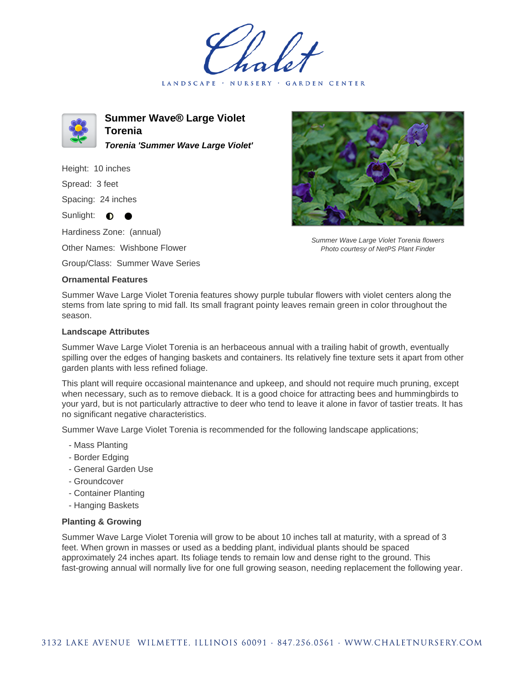LANDSCAPE · NURSERY · GARDEN CENTER



**Summer Wave® Large Violet Torenia Torenia 'Summer Wave Large Violet'**

Height: 10 inches

Spread: 3 feet

Spacing: 24 inches

Sunlight:  $\bullet$ 

Hardiness Zone: (annual)

Other Names: Wishbone Flower

Group/Class: Summer Wave Series

## **Ornamental Features**



Summer Wave Large Violet Torenia flowers Photo courtesy of NetPS Plant Finder

Summer Wave Large Violet Torenia features showy purple tubular flowers with violet centers along the stems from late spring to mid fall. Its small fragrant pointy leaves remain green in color throughout the season.

## **Landscape Attributes**

Summer Wave Large Violet Torenia is an herbaceous annual with a trailing habit of growth, eventually spilling over the edges of hanging baskets and containers. Its relatively fine texture sets it apart from other garden plants with less refined foliage.

This plant will require occasional maintenance and upkeep, and should not require much pruning, except when necessary, such as to remove dieback. It is a good choice for attracting bees and hummingbirds to your yard, but is not particularly attractive to deer who tend to leave it alone in favor of tastier treats. It has no significant negative characteristics.

Summer Wave Large Violet Torenia is recommended for the following landscape applications;

- Mass Planting
- Border Edging
- General Garden Use
- Groundcover
- Container Planting
- Hanging Baskets

## **Planting & Growing**

Summer Wave Large Violet Torenia will grow to be about 10 inches tall at maturity, with a spread of 3 feet. When grown in masses or used as a bedding plant, individual plants should be spaced approximately 24 inches apart. Its foliage tends to remain low and dense right to the ground. This fast-growing annual will normally live for one full growing season, needing replacement the following year.